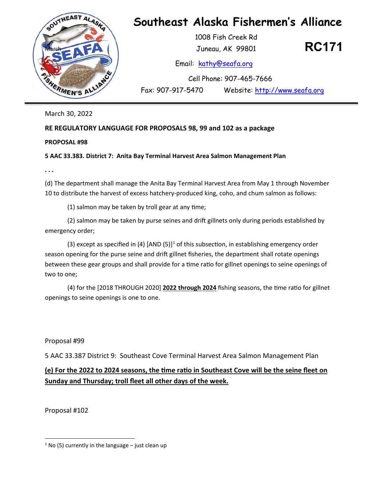

March 30, 2022

## **RE REGULATORY LANGUAGE FOR PROPOSALS 98, 99 and 102 as a package**

**PROPOSAL #98** 

## **5 AAC 33.383. District 7: Anita Bay Terminal Harvest Area Salmon Management Plan**

**. . .** 

 (d) The department shall manage the Anita Bay Terminal Harvest Area from May 1 through November 10 to distribute the harvest of excess hatchery-produced king, coho, and chum salmon as follows:

 $(1)$  salmon may be taken by troll gear at any time;

(2) salmon may be taken by purse seines and drift gillnets only during periods established by emergency order;

(3) except as specified in (4)  $[AND (5)]^1$  of this subsection, in establishing emergency order season opening for the purse seine and drift gillnet fisheries, the department shall rotate openings between these gear groups and shall provide for a time ratio for gillnet openings to seine openings of two to one;

(4) for the [2018 THROUGH 2020] 2022 through 2024 fishing seasons, the time ratio for gillnet openings to seine openings is one to one.

Proposal #99

5 AAC 33.387 District 9: Southeast Cove Terminal Harvest Area Salmon Management Plan

## **(e) For the 2022 to 2024 seasons, the �me ra�o in Southeast Cove will be the seine fleet on Sunday and Thursday; troll fleet all other days of the week.**

Proposal #102

<span id="page-0-0"></span> $1$  No (5) currently in the language – just clean up